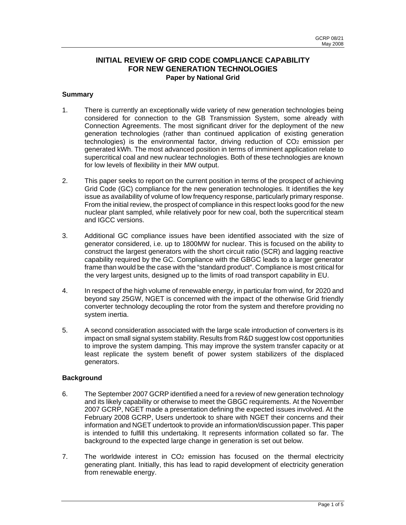## **INITIAL REVIEW OF GRID CODE COMPLIANCE CAPABILITY FOR NEW GENERATION TECHNOLOGIES Paper by National Grid**

### **Summary**

- 1. There is currently an exceptionally wide variety of new generation technologies being considered for connection to the GB Transmission System, some already with Connection Agreements. The most significant driver for the deployment of the new generation technologies (rather than continued application of existing generation technologies) is the environmental factor, driving reduction of CO2 emission per generated kWh. The most advanced position in terms of imminent application relate to supercritical coal and new nuclear technologies. Both of these technologies are known for low levels of flexibility in their MW output.
- 2. This paper seeks to report on the current position in terms of the prospect of achieving Grid Code (GC) compliance for the new generation technologies. It identifies the key issue as availability of volume of low frequency response, particularly primary response. From the initial review, the prospect of compliance in this respect looks good for the new nuclear plant sampled, while relatively poor for new coal, both the supercritical steam and IGCC versions.
- 3. Additional GC compliance issues have been identified associated with the size of generator considered, i.e. up to 1800MW for nuclear. This is focused on the ability to construct the largest generators with the short circuit ratio (SCR) and lagging reactive capability required by the GC. Compliance with the GBGC leads to a larger generator frame than would be the case with the "standard product". Compliance is most critical for the very largest units, designed up to the limits of road transport capability in EU.
- 4. In respect of the high volume of renewable energy, in particular from wind, for 2020 and beyond say 25GW, NGET is concerned with the impact of the otherwise Grid friendly converter technology decoupling the rotor from the system and therefore providing no system inertia.
- 5. A second consideration associated with the large scale introduction of converters is its impact on small signal system stability. Results from R&D suggest low cost opportunities to improve the system damping. This may improve the system transfer capacity or at least replicate the system benefit of power system stabilizers of the displaced generators.

### **Background**

- 6. The September 2007 GCRP identified a need for a review of new generation technology and its likely capability or otherwise to meet the GBGC requirements. At the November 2007 GCRP, NGET made a presentation defining the expected issues involved. At the February 2008 GCRP, Users undertook to share with NGET their concerns and their information and NGET undertook to provide an information/discussion paper. This paper is intended to fulfill this undertaking. It represents information collated so far. The background to the expected large change in generation is set out below.
- 7. The worldwide interest in CO2 emission has focused on the thermal electricity generating plant. Initially, this has lead to rapid development of electricity generation from renewable energy.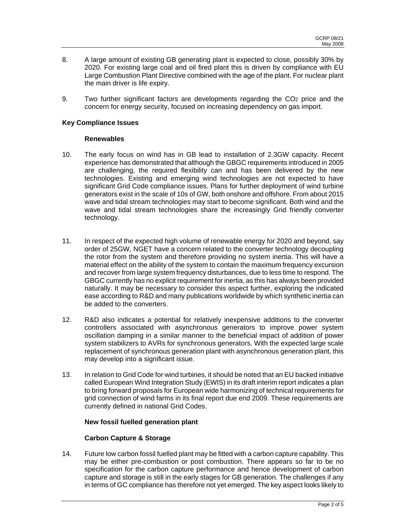- 8. A large amount of existing GB generating plant is expected to close, possibly 30% by 2020. For existing large coal and oil fired plant this is driven by compliance with EU Large Combustion Plant Directive combined with the age of the plant. For nuclear plant the main driver is life expiry.
- 9. Two further significant factors are developments regarding the CO2 price and the concern for energy security, focused on increasing dependency on gas import.

### **Key Compliance Issues**

#### **Renewables**

- 10. The early focus on wind has in GB lead to installation of 2.3GW capacity. Recent experience has demonstrated that although the GBGC requirements introduced in 2005 are challenging, the required flexibility can and has been delivered by the new technologies. Existing and emerging wind technologies are not expected to have significant Grid Code compliance issues. Plans for further deployment of wind turbine generators exist in the scale of 10s of GW, both onshore and offshore. From about 2015 wave and tidal stream technologies may start to become significant. Both wind and the wave and tidal stream technologies share the increasingly Grid friendly converter technology.
- 11. In respect of the expected high volume of renewable energy for 2020 and beyond, say order of 25GW, NGET have a concern related to the converter technology decoupling the rotor from the system and therefore providing no system inertia. This will have a material effect on the ability of the system to contain the maximum frequency excursion and recover from large system frequency disturbances, due to less time to respond. The GBGC currently has no explicit requirement for inertia, as this has always been provided naturally. It may be necessary to consider this aspect further, exploring the indicated ease according to R&D and many publications worldwide by which synthetic inertia can be added to the converters.
- 12. R&D also indicates a potential for relatively inexpensive additions to the converter controllers associated with asynchronous generators to improve power system oscillation damping in a similar manner to the beneficial impact of addition of power system stabilizers to AVRs for synchronous generators. With the expected large scale replacement of synchronous generation plant with asynchronous generation plant, this may develop into a significant issue.
- 13. In relation to Grid Code for wind turbines, it should be noted that an EU backed initiative called European Wind Integration Study (EWIS) in its draft interim report indicates a plan to bring forward proposals for European wide harmonizing of technical requirements for grid connection of wind farms in its final report due end 2009. These requirements are currently defined in national Grid Codes.

#### **New fossil fuelled generation plant**

### **Carbon Capture & Storage**

14. Future low carbon fossil fuelled plant may be fitted with a carbon capture capability. This may be either pre-combustion or post combustion. There appears so far to be no specification for the carbon capture performance and hence development of carbon capture and storage is still in the early stages for GB generation. The challenges if any in terms of GC compliance has therefore not yet emerged. The key aspect looks likely to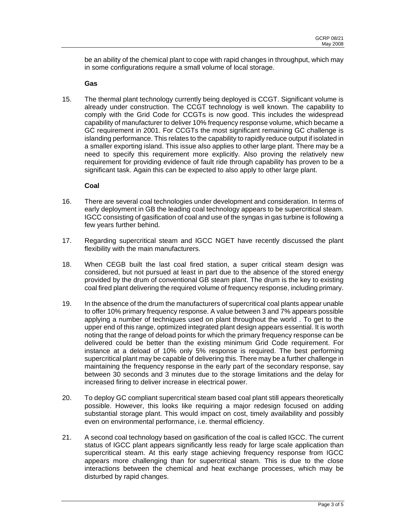be an ability of the chemical plant to cope with rapid changes in throughput, which may in some configurations require a small volume of local storage.

### **Gas**

15. The thermal plant technology currently being deployed is CCGT. Significant volume is already under construction. The CCGT technology is well known. The capability to comply with the Grid Code for CCGTs is now good. This includes the widespread capability of manufacturer to deliver 10% frequency response volume, which became a GC requirement in 2001. For CCGTs the most significant remaining GC challenge is islanding performance. This relates to the capability to rapidly reduce output if isolated in a smaller exporting island. This issue also applies to other large plant. There may be a need to specify this requirement more explicitly. Also proving the relatively new requirement for providing evidence of fault ride through capability has proven to be a significant task. Again this can be expected to also apply to other large plant.

### **Coal**

- 16. There are several coal technologies under development and consideration. In terms of early deployment in GB the leading coal technology appears to be supercritical steam. IGCC consisting of gasification of coal and use of the syngas in gas turbine is following a few years further behind.
- 17. Regarding supercritical steam and IGCC NGET have recently discussed the plant flexibility with the main manufacturers.
- 18. When CEGB built the last coal fired station, a super critical steam design was considered, but not pursued at least in part due to the absence of the stored energy provided by the drum of conventional GB steam plant. The drum is the key to existing coal fired plant delivering the required volume of frequency response, including primary.
- 19. In the absence of the drum the manufacturers of supercritical coal plants appear unable to offer 10% primary frequency response. A value between 3 and 7% appears possible applying a number of techniques used on plant throughout the world . To get to the upper end of this range, optimized integrated plant design appears essential. It is worth noting that the range of deload points for which the primary frequency response can be delivered could be better than the existing minimum Grid Code requirement. For instance at a deload of 10% only 5% response is required. The best performing supercritical plant may be capable of delivering this. There may be a further challenge in maintaining the frequency response in the early part of the secondary response, say between 30 seconds and 3 minutes due to the storage limitations and the delay for increased firing to deliver increase in electrical power.
- 20. To deploy GC compliant supercritical steam based coal plant still appears theoretically possible. However, this looks like requiring a major redesign focused on adding substantial storage plant. This would impact on cost, timely availability and possibly even on environmental performance, i.e. thermal efficiency.
- 21. A second coal technology based on gasification of the coal is called IGCC. The current status of IGCC plant appears significantly less ready for large scale application than supercritical steam. At this early stage achieving frequency response from IGCC appears more challenging than for supercritical steam. This is due to the close interactions between the chemical and heat exchange processes, which may be disturbed by rapid changes.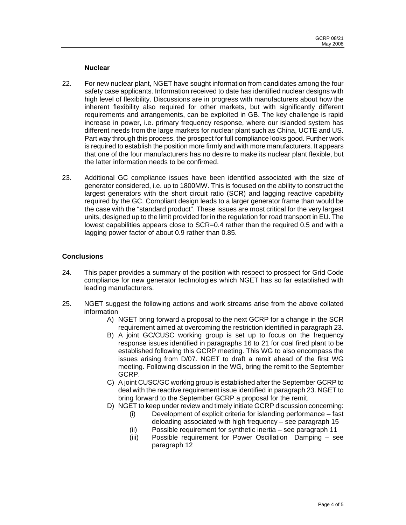#### **Nuclear**

- 22. For new nuclear plant, NGET have sought information from candidates among the four safety case applicants. Information received to date has identified nuclear designs with high level of flexibility. Discussions are in progress with manufacturers about how the inherent flexibility also required for other markets, but with significantly different requirements and arrangements, can be exploited in GB. The key challenge is rapid increase in power, i.e. primary frequency response, where our islanded system has different needs from the large markets for nuclear plant such as China, UCTE and US. Part way through this process, the prospect for full compliance looks good. Further work is required to establish the position more firmly and with more manufacturers. It appears that one of the four manufacturers has no desire to make its nuclear plant flexible, but the latter information needs to be confirmed.
- 23. Additional GC compliance issues have been identified associated with the size of generator considered, i.e. up to 1800MW. This is focused on the ability to construct the largest generators with the short circuit ratio (SCR) and lagging reactive capability required by the GC. Compliant design leads to a larger generator frame than would be the case with the "standard product". These issues are most critical for the very largest units, designed up to the limit provided for in the regulation for road transport in EU. The lowest capabilities appears close to SCR=0.4 rather than the required 0.5 and with a lagging power factor of about 0.9 rather than 0.85.

### **Conclusions**

- 24. This paper provides a summary of the position with respect to prospect for Grid Code compliance for new generator technologies which NGET has so far established with leading manufacturers.
- 25. NGET suggest the following actions and work streams arise from the above collated information
	- A) NGET bring forward a proposal to the next GCRP for a change in the SCR requirement aimed at overcoming the restriction identified in paragraph 23.
	- B) A joint GC/CUSC working group is set up to focus on the frequency response issues identified in paragraphs 16 to 21 for coal fired plant to be established following this GCRP meeting. This WG to also encompass the issues arising from D/07. NGET to draft a remit ahead of the first WG meeting. Following discussion in the WG, bring the remit to the September GCRP.
	- C) A joint CUSC/GC working group is established after the September GCRP to deal with the reactive requirement issue identified in paragraph 23. NGET to bring forward to the September GCRP a proposal for the remit.
	- D) NGET to keep under review and timely initiate GCRP discussion concerning:
		- (i) Development of explicit criteria for islanding performance fast deloading associated with high frequency – see paragraph 15
		- (ii) Possible requirement for synthetic inertia see paragraph 11
		- (iii) Possible requirement for Power Oscillation Damping see paragraph 12